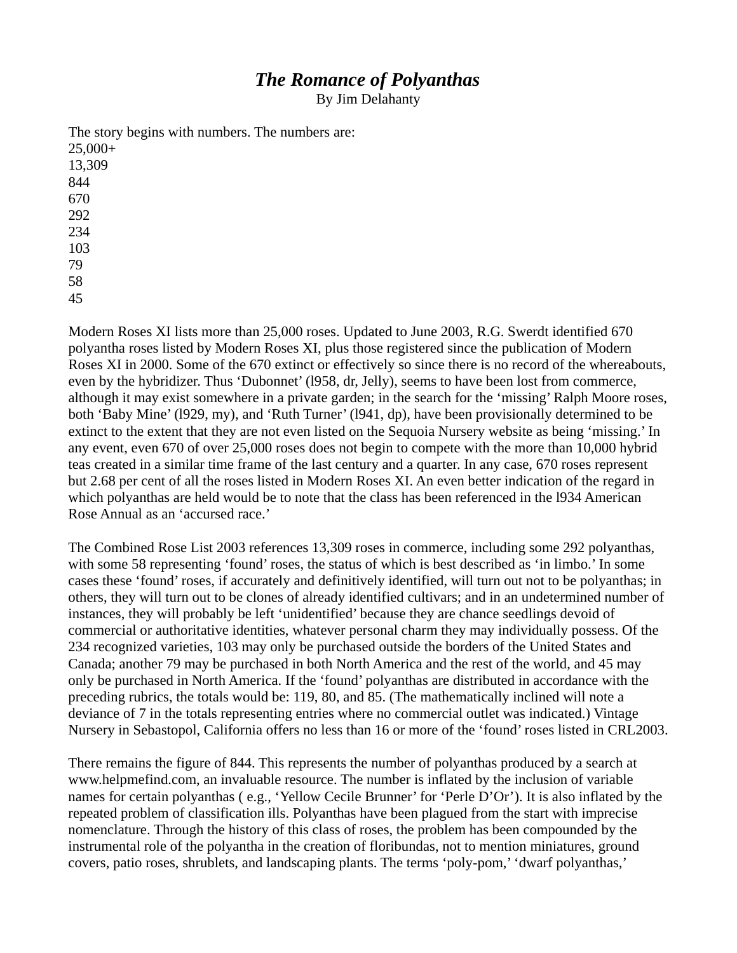# *The Romance of Polyanthas*

By Jim Delahanty

The story begins with numbers. The numbers are: 25,000+ 13,309 844 670 292 234 103 79 58

45

Modern Roses XI lists more than 25,000 roses. Updated to June 2003, R.G. Swerdt identified 670 polyantha roses listed by Modern Roses XI, plus those registered since the publication of Modern Roses XI in 2000. Some of the 670 extinct or effectively so since there is no record of the whereabouts, even by the hybridizer. Thus 'Dubonnet' (l958, dr, Jelly), seems to have been lost from commerce, although it may exist somewhere in a private garden; in the search for the 'missing' Ralph Moore roses, both 'Baby Mine' (l929, my), and 'Ruth Turner' (l941, dp), have been provisionally determined to be extinct to the extent that they are not even listed on the Sequoia Nursery website as being 'missing.' In any event, even 670 of over 25,000 roses does not begin to compete with the more than 10,000 hybrid teas created in a similar time frame of the last century and a quarter. In any case, 670 roses represent but 2.68 per cent of all the roses listed in Modern Roses XI. An even better indication of the regard in which polyanthas are held would be to note that the class has been referenced in the l934 American Rose Annual as an 'accursed race.'

The Combined Rose List 2003 references 13,309 roses in commerce, including some 292 polyanthas, with some 58 representing 'found' roses, the status of which is best described as 'in limbo.' In some cases these 'found' roses, if accurately and definitively identified, will turn out not to be polyanthas; in others, they will turn out to be clones of already identified cultivars; and in an undetermined number of instances, they will probably be left 'unidentified' because they are chance seedlings devoid of commercial or authoritative identities, whatever personal charm they may individually possess. Of the 234 recognized varieties, 103 may only be purchased outside the borders of the United States and Canada; another 79 may be purchased in both North America and the rest of the world, and 45 may only be purchased in North America. If the 'found' polyanthas are distributed in accordance with the preceding rubrics, the totals would be: 119, 80, and 85. (The mathematically inclined will note a deviance of 7 in the totals representing entries where no commercial outlet was indicated.) Vintage Nursery in Sebastopol, California offers no less than 16 or more of the 'found' roses listed in CRL2003.

There remains the figure of 844. This represents the number of polyanthas produced by a search at www.helpmefind.com, an invaluable resource. The number is inflated by the inclusion of variable names for certain polyanthas ( e.g., 'Yellow Cecile Brunner' for 'Perle D'Or'). It is also inflated by the repeated problem of classification ills. Polyanthas have been plagued from the start with imprecise nomenclature. Through the history of this class of roses, the problem has been compounded by the instrumental role of the polyantha in the creation of floribundas, not to mention miniatures, ground covers, patio roses, shrublets, and landscaping plants. The terms 'poly-pom,' 'dwarf polyanthas,'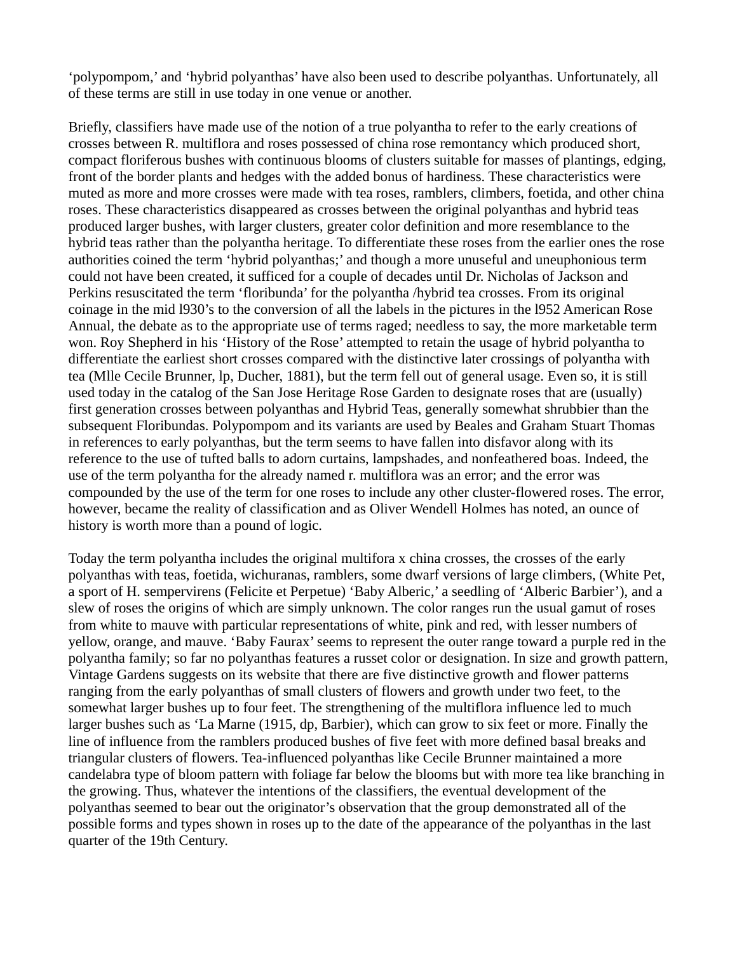'polypompom,' and 'hybrid polyanthas' have also been used to describe polyanthas. Unfortunately, all of these terms are still in use today in one venue or another.

Briefly, classifiers have made use of the notion of a true polyantha to refer to the early creations of crosses between R. multiflora and roses possessed of china rose remontancy which produced short, compact floriferous bushes with continuous blooms of clusters suitable for masses of plantings, edging, front of the border plants and hedges with the added bonus of hardiness. These characteristics were muted as more and more crosses were made with tea roses, ramblers, climbers, foetida, and other china roses. These characteristics disappeared as crosses between the original polyanthas and hybrid teas produced larger bushes, with larger clusters, greater color definition and more resemblance to the hybrid teas rather than the polyantha heritage. To differentiate these roses from the earlier ones the rose authorities coined the term 'hybrid polyanthas;' and though a more unuseful and uneuphonious term could not have been created, it sufficed for a couple of decades until Dr. Nicholas of Jackson and Perkins resuscitated the term 'floribunda' for the polyantha /hybrid tea crosses. From its original coinage in the mid l930's to the conversion of all the labels in the pictures in the l952 American Rose Annual, the debate as to the appropriate use of terms raged; needless to say, the more marketable term won. Roy Shepherd in his 'History of the Rose' attempted to retain the usage of hybrid polyantha to differentiate the earliest short crosses compared with the distinctive later crossings of polyantha with tea (Mlle Cecile Brunner, lp, Ducher, 1881), but the term fell out of general usage. Even so, it is still used today in the catalog of the San Jose Heritage Rose Garden to designate roses that are (usually) first generation crosses between polyanthas and Hybrid Teas, generally somewhat shrubbier than the subsequent Floribundas. Polypompom and its variants are used by Beales and Graham Stuart Thomas in references to early polyanthas, but the term seems to have fallen into disfavor along with its reference to the use of tufted balls to adorn curtains, lampshades, and nonfeathered boas. Indeed, the use of the term polyantha for the already named r. multiflora was an error; and the error was compounded by the use of the term for one roses to include any other cluster-flowered roses. The error, however, became the reality of classification and as Oliver Wendell Holmes has noted, an ounce of history is worth more than a pound of logic.

Today the term polyantha includes the original multifora x china crosses, the crosses of the early polyanthas with teas, foetida, wichuranas, ramblers, some dwarf versions of large climbers, (White Pet, a sport of H. sempervirens (Felicite et Perpetue) 'Baby Alberic,' a seedling of 'Alberic Barbier'), and a slew of roses the origins of which are simply unknown. The color ranges run the usual gamut of roses from white to mauve with particular representations of white, pink and red, with lesser numbers of yellow, orange, and mauve. 'Baby Faurax' seems to represent the outer range toward a purple red in the polyantha family; so far no polyanthas features a russet color or designation. In size and growth pattern, Vintage Gardens suggests on its website that there are five distinctive growth and flower patterns ranging from the early polyanthas of small clusters of flowers and growth under two feet, to the somewhat larger bushes up to four feet. The strengthening of the multiflora influence led to much larger bushes such as 'La Marne (1915, dp, Barbier), which can grow to six feet or more. Finally the line of influence from the ramblers produced bushes of five feet with more defined basal breaks and triangular clusters of flowers. Tea-influenced polyanthas like Cecile Brunner maintained a more candelabra type of bloom pattern with foliage far below the blooms but with more tea like branching in the growing. Thus, whatever the intentions of the classifiers, the eventual development of the polyanthas seemed to bear out the originator's observation that the group demonstrated all of the possible forms and types shown in roses up to the date of the appearance of the polyanthas in the last quarter of the 19th Century.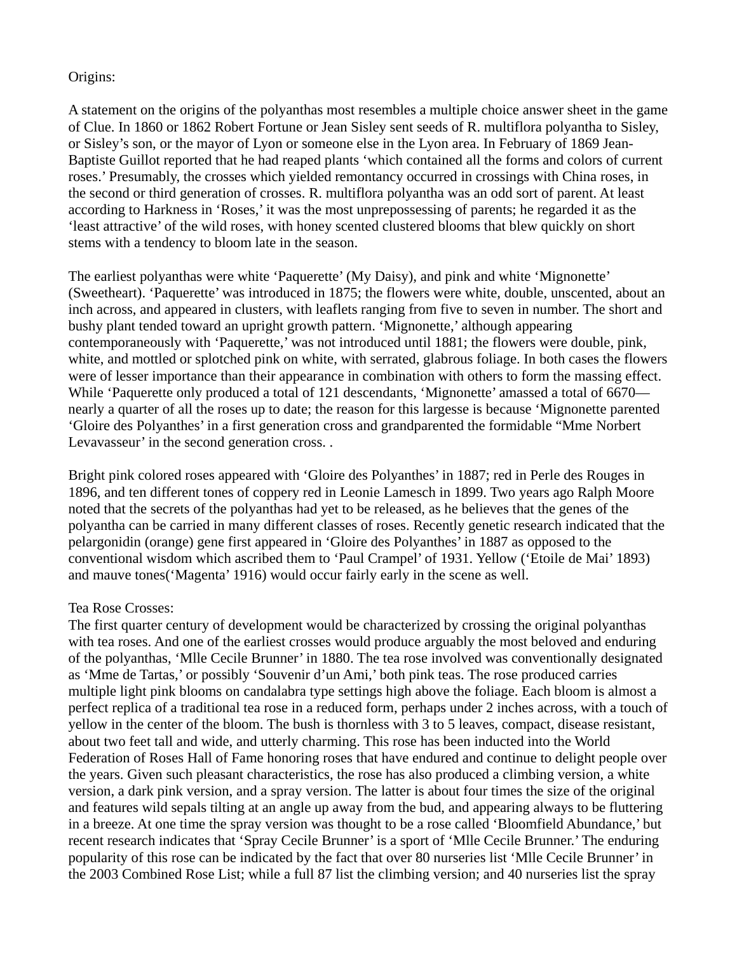### Origins:

A statement on the origins of the polyanthas most resembles a multiple choice answer sheet in the game of Clue. In 1860 or 1862 Robert Fortune or Jean Sisley sent seeds of R. multiflora polyantha to Sisley, or Sisley's son, or the mayor of Lyon or someone else in the Lyon area. In February of 1869 Jean-Baptiste Guillot reported that he had reaped plants 'which contained all the forms and colors of current roses.' Presumably, the crosses which yielded remontancy occurred in crossings with China roses, in the second or third generation of crosses. R. multiflora polyantha was an odd sort of parent. At least according to Harkness in 'Roses,' it was the most unprepossessing of parents; he regarded it as the 'least attractive' of the wild roses, with honey scented clustered blooms that blew quickly on short stems with a tendency to bloom late in the season.

The earliest polyanthas were white 'Paquerette' (My Daisy), and pink and white 'Mignonette' (Sweetheart). 'Paquerette' was introduced in 1875; the flowers were white, double, unscented, about an inch across, and appeared in clusters, with leaflets ranging from five to seven in number. The short and bushy plant tended toward an upright growth pattern. 'Mignonette,' although appearing contemporaneously with 'Paquerette,' was not introduced until 1881; the flowers were double, pink, white, and mottled or splotched pink on white, with serrated, glabrous foliage. In both cases the flowers were of lesser importance than their appearance in combination with others to form the massing effect. While 'Paquerette only produced a total of 121 descendants, 'Mignonette' amassed a total of 6670 nearly a quarter of all the roses up to date; the reason for this largesse is because 'Mignonette parented 'Gloire des Polyanthes' in a first generation cross and grandparented the formidable "Mme Norbert Levavasseur' in the second generation cross. .

Bright pink colored roses appeared with 'Gloire des Polyanthes' in 1887; red in Perle des Rouges in 1896, and ten different tones of coppery red in Leonie Lamesch in 1899. Two years ago Ralph Moore noted that the secrets of the polyanthas had yet to be released, as he believes that the genes of the polyantha can be carried in many different classes of roses. Recently genetic research indicated that the pelargonidin (orange) gene first appeared in 'Gloire des Polyanthes' in 1887 as opposed to the conventional wisdom which ascribed them to 'Paul Crampel' of 1931. Yellow ('Etoile de Mai' 1893) and mauve tones('Magenta' 1916) would occur fairly early in the scene as well.

#### Tea Rose Crosses:

The first quarter century of development would be characterized by crossing the original polyanthas with tea roses. And one of the earliest crosses would produce arguably the most beloved and enduring of the polyanthas, 'Mlle Cecile Brunner' in 1880. The tea rose involved was conventionally designated as 'Mme de Tartas,' or possibly 'Souvenir d'un Ami,' both pink teas. The rose produced carries multiple light pink blooms on candalabra type settings high above the foliage. Each bloom is almost a perfect replica of a traditional tea rose in a reduced form, perhaps under 2 inches across, with a touch of yellow in the center of the bloom. The bush is thornless with 3 to 5 leaves, compact, disease resistant, about two feet tall and wide, and utterly charming. This rose has been inducted into the World Federation of Roses Hall of Fame honoring roses that have endured and continue to delight people over the years. Given such pleasant characteristics, the rose has also produced a climbing version, a white version, a dark pink version, and a spray version. The latter is about four times the size of the original and features wild sepals tilting at an angle up away from the bud, and appearing always to be fluttering in a breeze. At one time the spray version was thought to be a rose called 'Bloomfield Abundance,' but recent research indicates that 'Spray Cecile Brunner' is a sport of 'Mlle Cecile Brunner.' The enduring popularity of this rose can be indicated by the fact that over 80 nurseries list 'Mlle Cecile Brunner' in the 2003 Combined Rose List; while a full 87 list the climbing version; and 40 nurseries list the spray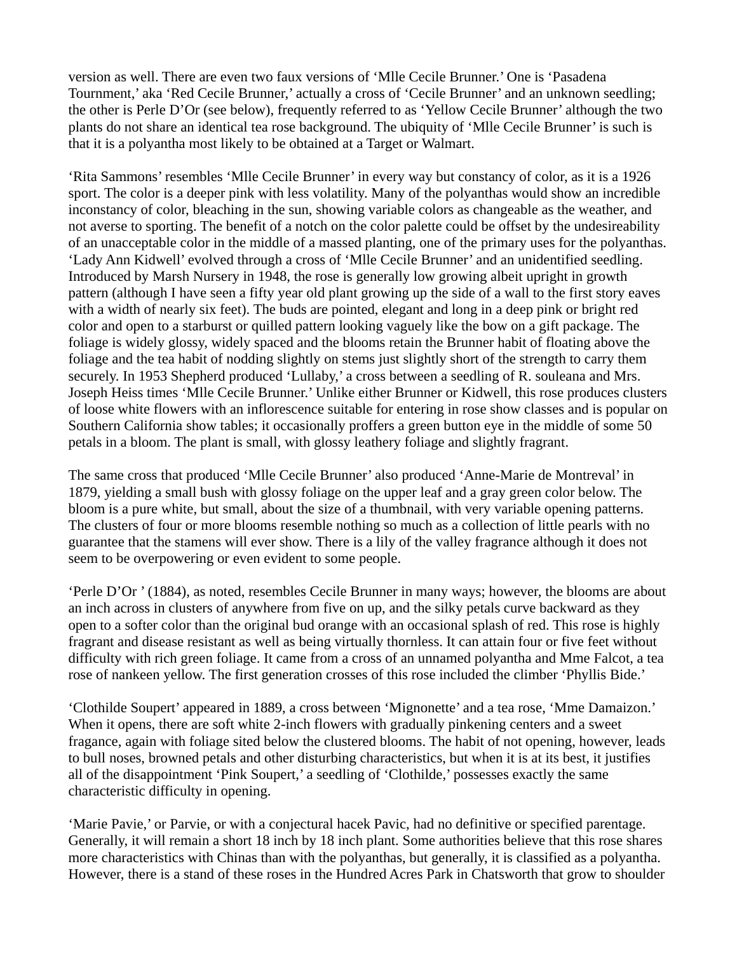version as well. There are even two faux versions of 'Mlle Cecile Brunner.' One is 'Pasadena Tournment,' aka 'Red Cecile Brunner,' actually a cross of 'Cecile Brunner' and an unknown seedling; the other is Perle D'Or (see below), frequently referred to as 'Yellow Cecile Brunner' although the two plants do not share an identical tea rose background. The ubiquity of 'Mlle Cecile Brunner' is such is that it is a polyantha most likely to be obtained at a Target or Walmart.

'Rita Sammons' resembles 'Mlle Cecile Brunner' in every way but constancy of color, as it is a 1926 sport. The color is a deeper pink with less volatility. Many of the polyanthas would show an incredible inconstancy of color, bleaching in the sun, showing variable colors as changeable as the weather, and not averse to sporting. The benefit of a notch on the color palette could be offset by the undesireability of an unacceptable color in the middle of a massed planting, one of the primary uses for the polyanthas. 'Lady Ann Kidwell' evolved through a cross of 'Mlle Cecile Brunner' and an unidentified seedling. Introduced by Marsh Nursery in 1948, the rose is generally low growing albeit upright in growth pattern (although I have seen a fifty year old plant growing up the side of a wall to the first story eaves with a width of nearly six feet). The buds are pointed, elegant and long in a deep pink or bright red color and open to a starburst or quilled pattern looking vaguely like the bow on a gift package. The foliage is widely glossy, widely spaced and the blooms retain the Brunner habit of floating above the foliage and the tea habit of nodding slightly on stems just slightly short of the strength to carry them securely. In 1953 Shepherd produced 'Lullaby,' a cross between a seedling of R. souleana and Mrs. Joseph Heiss times 'Mlle Cecile Brunner.' Unlike either Brunner or Kidwell, this rose produces clusters of loose white flowers with an inflorescence suitable for entering in rose show classes and is popular on Southern California show tables; it occasionally proffers a green button eye in the middle of some 50 petals in a bloom. The plant is small, with glossy leathery foliage and slightly fragrant.

The same cross that produced 'Mlle Cecile Brunner' also produced 'Anne-Marie de Montreval' in 1879, yielding a small bush with glossy foliage on the upper leaf and a gray green color below. The bloom is a pure white, but small, about the size of a thumbnail, with very variable opening patterns. The clusters of four or more blooms resemble nothing so much as a collection of little pearls with no guarantee that the stamens will ever show. There is a lily of the valley fragrance although it does not seem to be overpowering or even evident to some people.

'Perle D'Or ' (1884), as noted, resembles Cecile Brunner in many ways; however, the blooms are about an inch across in clusters of anywhere from five on up, and the silky petals curve backward as they open to a softer color than the original bud orange with an occasional splash of red. This rose is highly fragrant and disease resistant as well as being virtually thornless. It can attain four or five feet without difficulty with rich green foliage. It came from a cross of an unnamed polyantha and Mme Falcot, a tea rose of nankeen yellow. The first generation crosses of this rose included the climber 'Phyllis Bide.'

'Clothilde Soupert' appeared in 1889, a cross between 'Mignonette' and a tea rose, 'Mme Damaizon.' When it opens, there are soft white 2-inch flowers with gradually pinkening centers and a sweet fragance, again with foliage sited below the clustered blooms. The habit of not opening, however, leads to bull noses, browned petals and other disturbing characteristics, but when it is at its best, it justifies all of the disappointment 'Pink Soupert,' a seedling of 'Clothilde,' possesses exactly the same characteristic difficulty in opening.

'Marie Pavie,' or Parvie, or with a conjectural hacek Pavic, had no definitive or specified parentage. Generally, it will remain a short 18 inch by 18 inch plant. Some authorities believe that this rose shares more characteristics with Chinas than with the polyanthas, but generally, it is classified as a polyantha. However, there is a stand of these roses in the Hundred Acres Park in Chatsworth that grow to shoulder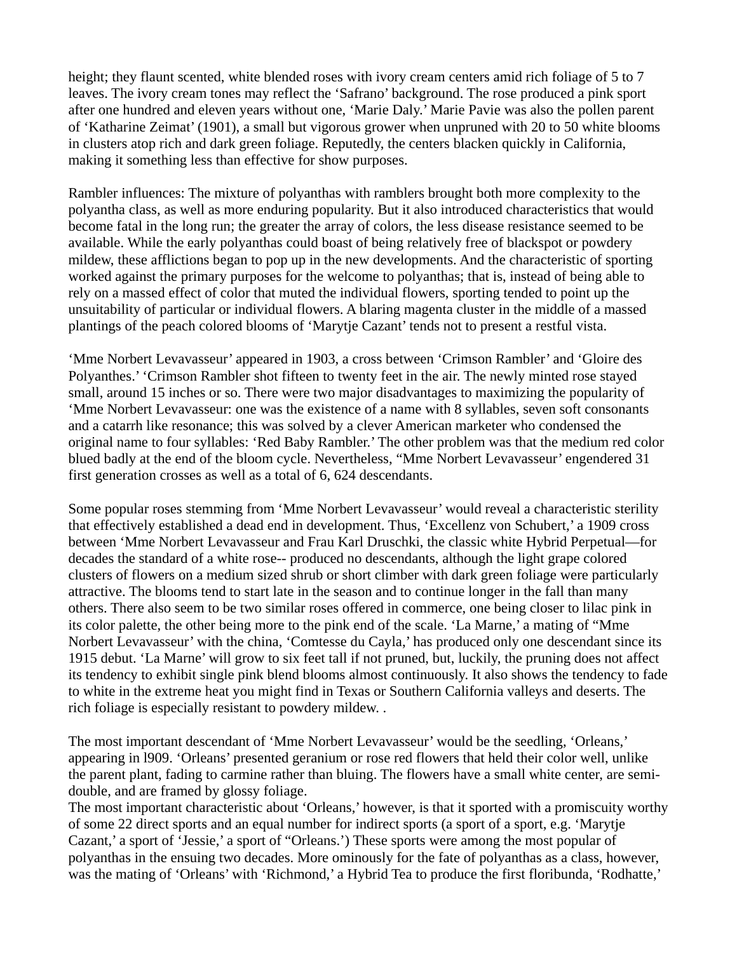height; they flaunt scented, white blended roses with ivory cream centers amid rich foliage of 5 to 7 leaves. The ivory cream tones may reflect the 'Safrano' background. The rose produced a pink sport after one hundred and eleven years without one, 'Marie Daly.' Marie Pavie was also the pollen parent of 'Katharine Zeimat' (1901), a small but vigorous grower when unpruned with 20 to 50 white blooms in clusters atop rich and dark green foliage. Reputedly, the centers blacken quickly in California, making it something less than effective for show purposes.

Rambler influences: The mixture of polyanthas with ramblers brought both more complexity to the polyantha class, as well as more enduring popularity. But it also introduced characteristics that would become fatal in the long run; the greater the array of colors, the less disease resistance seemed to be available. While the early polyanthas could boast of being relatively free of blackspot or powdery mildew, these afflictions began to pop up in the new developments. And the characteristic of sporting worked against the primary purposes for the welcome to polyanthas; that is, instead of being able to rely on a massed effect of color that muted the individual flowers, sporting tended to point up the unsuitability of particular or individual flowers. A blaring magenta cluster in the middle of a massed plantings of the peach colored blooms of 'Marytje Cazant' tends not to present a restful vista.

'Mme Norbert Levavasseur' appeared in 1903, a cross between 'Crimson Rambler' and 'Gloire des Polyanthes.' 'Crimson Rambler shot fifteen to twenty feet in the air. The newly minted rose stayed small, around 15 inches or so. There were two major disadvantages to maximizing the popularity of 'Mme Norbert Levavasseur: one was the existence of a name with 8 syllables, seven soft consonants and a catarrh like resonance; this was solved by a clever American marketer who condensed the original name to four syllables: 'Red Baby Rambler.' The other problem was that the medium red color blued badly at the end of the bloom cycle. Nevertheless, "Mme Norbert Levavasseur' engendered 31 first generation crosses as well as a total of 6, 624 descendants.

Some popular roses stemming from 'Mme Norbert Levavasseur' would reveal a characteristic sterility that effectively established a dead end in development. Thus, 'Excellenz von Schubert,' a 1909 cross between 'Mme Norbert Levavasseur and Frau Karl Druschki, the classic white Hybrid Perpetual—for decades the standard of a white rose-- produced no descendants, although the light grape colored clusters of flowers on a medium sized shrub or short climber with dark green foliage were particularly attractive. The blooms tend to start late in the season and to continue longer in the fall than many others. There also seem to be two similar roses offered in commerce, one being closer to lilac pink in its color palette, the other being more to the pink end of the scale. 'La Marne,' a mating of "Mme Norbert Levavasseur' with the china, 'Comtesse du Cayla,' has produced only one descendant since its 1915 debut. 'La Marne' will grow to six feet tall if not pruned, but, luckily, the pruning does not affect its tendency to exhibit single pink blend blooms almost continuously. It also shows the tendency to fade to white in the extreme heat you might find in Texas or Southern California valleys and deserts. The rich foliage is especially resistant to powdery mildew. .

The most important descendant of 'Mme Norbert Levavasseur' would be the seedling, 'Orleans,' appearing in l909. 'Orleans' presented geranium or rose red flowers that held their color well, unlike the parent plant, fading to carmine rather than bluing. The flowers have a small white center, are semidouble, and are framed by glossy foliage.

The most important characteristic about 'Orleans,' however, is that it sported with a promiscuity worthy of some 22 direct sports and an equal number for indirect sports (a sport of a sport, e.g. 'Marytje Cazant,' a sport of 'Jessie,' a sport of "Orleans.') These sports were among the most popular of polyanthas in the ensuing two decades. More ominously for the fate of polyanthas as a class, however, was the mating of 'Orleans' with 'Richmond,' a Hybrid Tea to produce the first floribunda, 'Rodhatte,'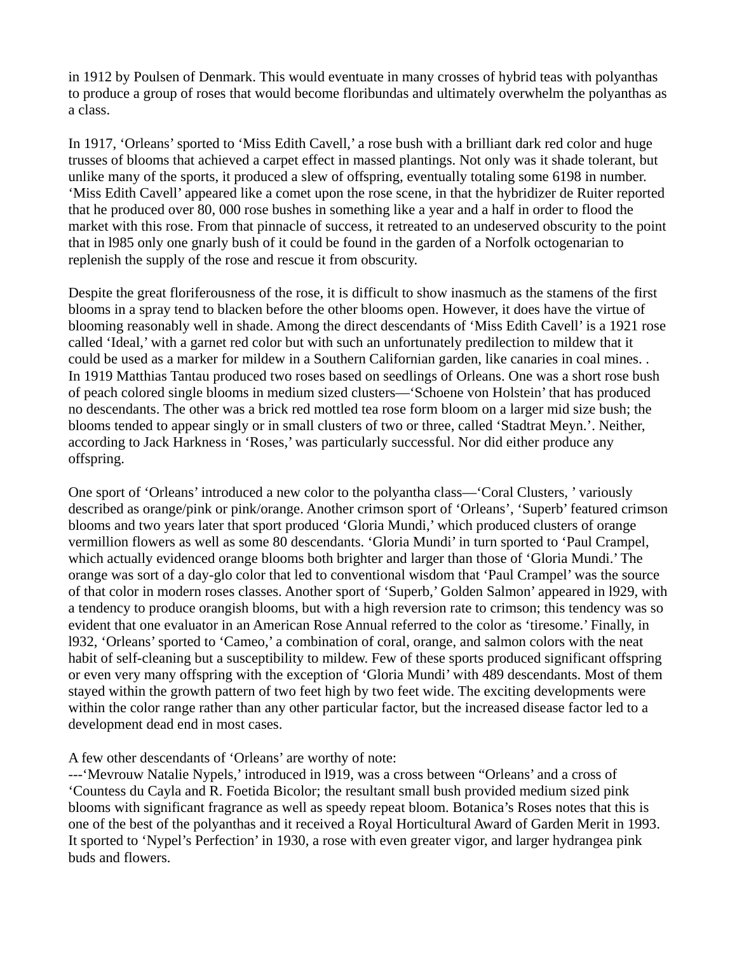in 1912 by Poulsen of Denmark. This would eventuate in many crosses of hybrid teas with polyanthas to produce a group of roses that would become floribundas and ultimately overwhelm the polyanthas as a class.

In 1917, 'Orleans' sported to 'Miss Edith Cavell,' a rose bush with a brilliant dark red color and huge trusses of blooms that achieved a carpet effect in massed plantings. Not only was it shade tolerant, but unlike many of the sports, it produced a slew of offspring, eventually totaling some 6198 in number. 'Miss Edith Cavell' appeared like a comet upon the rose scene, in that the hybridizer de Ruiter reported that he produced over 80, 000 rose bushes in something like a year and a half in order to flood the market with this rose. From that pinnacle of success, it retreated to an undeserved obscurity to the point that in l985 only one gnarly bush of it could be found in the garden of a Norfolk octogenarian to replenish the supply of the rose and rescue it from obscurity.

Despite the great floriferousness of the rose, it is difficult to show inasmuch as the stamens of the first blooms in a spray tend to blacken before the other blooms open. However, it does have the virtue of blooming reasonably well in shade. Among the direct descendants of 'Miss Edith Cavell' is a 1921 rose called 'Ideal,' with a garnet red color but with such an unfortunately predilection to mildew that it could be used as a marker for mildew in a Southern Californian garden, like canaries in coal mines. . In 1919 Matthias Tantau produced two roses based on seedlings of Orleans. One was a short rose bush of peach colored single blooms in medium sized clusters—'Schoene von Holstein' that has produced no descendants. The other was a brick red mottled tea rose form bloom on a larger mid size bush; the blooms tended to appear singly or in small clusters of two or three, called 'Stadtrat Meyn.'. Neither, according to Jack Harkness in 'Roses,' was particularly successful. Nor did either produce any offspring.

One sport of 'Orleans' introduced a new color to the polyantha class—'Coral Clusters, ' variously described as orange/pink or pink/orange. Another crimson sport of 'Orleans', 'Superb' featured crimson blooms and two years later that sport produced 'Gloria Mundi,' which produced clusters of orange vermillion flowers as well as some 80 descendants. 'Gloria Mundi' in turn sported to 'Paul Crampel, which actually evidenced orange blooms both brighter and larger than those of 'Gloria Mundi.' The orange was sort of a day-glo color that led to conventional wisdom that 'Paul Crampel' was the source of that color in modern roses classes. Another sport of 'Superb,' Golden Salmon' appeared in l929, with a tendency to produce orangish blooms, but with a high reversion rate to crimson; this tendency was so evident that one evaluator in an American Rose Annual referred to the color as 'tiresome.' Finally, in l932, 'Orleans' sported to 'Cameo,' a combination of coral, orange, and salmon colors with the neat habit of self-cleaning but a susceptibility to mildew. Few of these sports produced significant offspring or even very many offspring with the exception of 'Gloria Mundi' with 489 descendants. Most of them stayed within the growth pattern of two feet high by two feet wide. The exciting developments were within the color range rather than any other particular factor, but the increased disease factor led to a development dead end in most cases.

#### A few other descendants of 'Orleans' are worthy of note:

---'Mevrouw Natalie Nypels,' introduced in l919, was a cross between "Orleans' and a cross of 'Countess du Cayla and R. Foetida Bicolor; the resultant small bush provided medium sized pink blooms with significant fragrance as well as speedy repeat bloom. Botanica's Roses notes that this is one of the best of the polyanthas and it received a Royal Horticultural Award of Garden Merit in 1993. It sported to 'Nypel's Perfection' in 1930, a rose with even greater vigor, and larger hydrangea pink buds and flowers.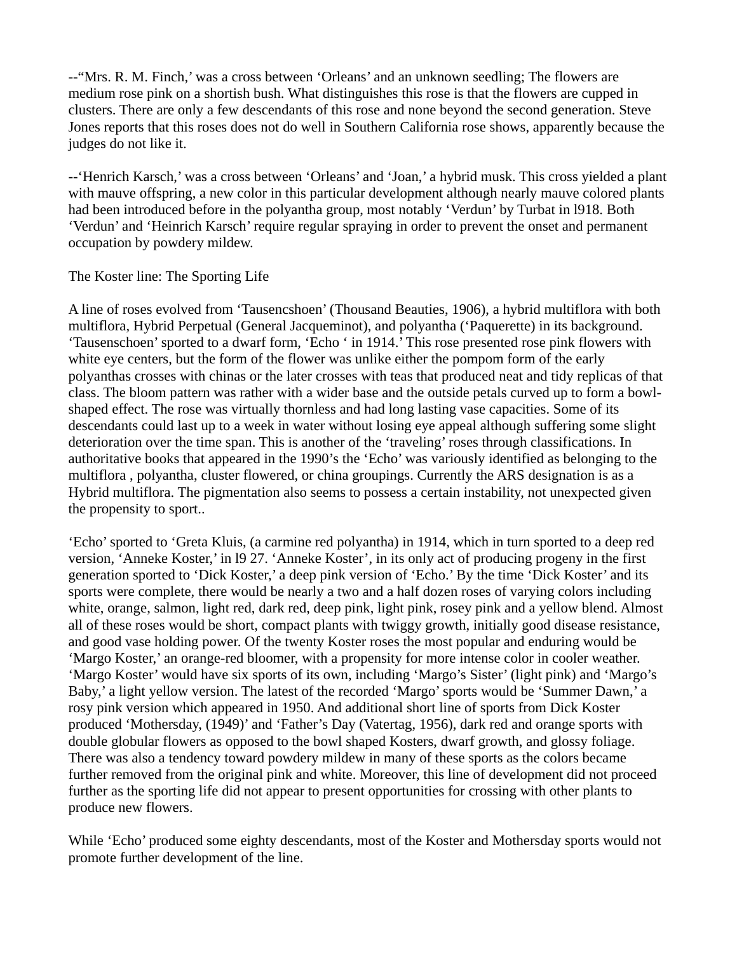--"Mrs. R. M. Finch,' was a cross between 'Orleans' and an unknown seedling; The flowers are medium rose pink on a shortish bush. What distinguishes this rose is that the flowers are cupped in clusters. There are only a few descendants of this rose and none beyond the second generation. Steve Jones reports that this roses does not do well in Southern California rose shows, apparently because the judges do not like it.

--'Henrich Karsch,' was a cross between 'Orleans' and 'Joan,' a hybrid musk. This cross yielded a plant with mauve offspring, a new color in this particular development although nearly mauve colored plants had been introduced before in the polyantha group, most notably 'Verdun' by Turbat in l918. Both 'Verdun' and 'Heinrich Karsch' require regular spraying in order to prevent the onset and permanent occupation by powdery mildew.

The Koster line: The Sporting Life

A line of roses evolved from 'Tausencshoen' (Thousand Beauties, 1906), a hybrid multiflora with both multiflora, Hybrid Perpetual (General Jacqueminot), and polyantha ('Paquerette) in its background. 'Tausenschoen' sported to a dwarf form, 'Echo ' in 1914.' This rose presented rose pink flowers with white eye centers, but the form of the flower was unlike either the pompom form of the early polyanthas crosses with chinas or the later crosses with teas that produced neat and tidy replicas of that class. The bloom pattern was rather with a wider base and the outside petals curved up to form a bowlshaped effect. The rose was virtually thornless and had long lasting vase capacities. Some of its descendants could last up to a week in water without losing eye appeal although suffering some slight deterioration over the time span. This is another of the 'traveling' roses through classifications. In authoritative books that appeared in the 1990's the 'Echo' was variously identified as belonging to the multiflora , polyantha, cluster flowered, or china groupings. Currently the ARS designation is as a Hybrid multiflora. The pigmentation also seems to possess a certain instability, not unexpected given the propensity to sport..

'Echo' sported to 'Greta Kluis, (a carmine red polyantha) in 1914, which in turn sported to a deep red version, 'Anneke Koster,' in l9 27. 'Anneke Koster', in its only act of producing progeny in the first generation sported to 'Dick Koster,' a deep pink version of 'Echo.' By the time 'Dick Koster' and its sports were complete, there would be nearly a two and a half dozen roses of varying colors including white, orange, salmon, light red, dark red, deep pink, light pink, rosey pink and a yellow blend. Almost all of these roses would be short, compact plants with twiggy growth, initially good disease resistance, and good vase holding power. Of the twenty Koster roses the most popular and enduring would be 'Margo Koster,' an orange-red bloomer, with a propensity for more intense color in cooler weather. 'Margo Koster' would have six sports of its own, including 'Margo's Sister' (light pink) and 'Margo's Baby,' a light yellow version. The latest of the recorded 'Margo' sports would be 'Summer Dawn,' a rosy pink version which appeared in 1950. And additional short line of sports from Dick Koster produced 'Mothersday, (1949)' and 'Father's Day (Vatertag, 1956), dark red and orange sports with double globular flowers as opposed to the bowl shaped Kosters, dwarf growth, and glossy foliage. There was also a tendency toward powdery mildew in many of these sports as the colors became further removed from the original pink and white. Moreover, this line of development did not proceed further as the sporting life did not appear to present opportunities for crossing with other plants to produce new flowers.

While 'Echo' produced some eighty descendants, most of the Koster and Mothersday sports would not promote further development of the line.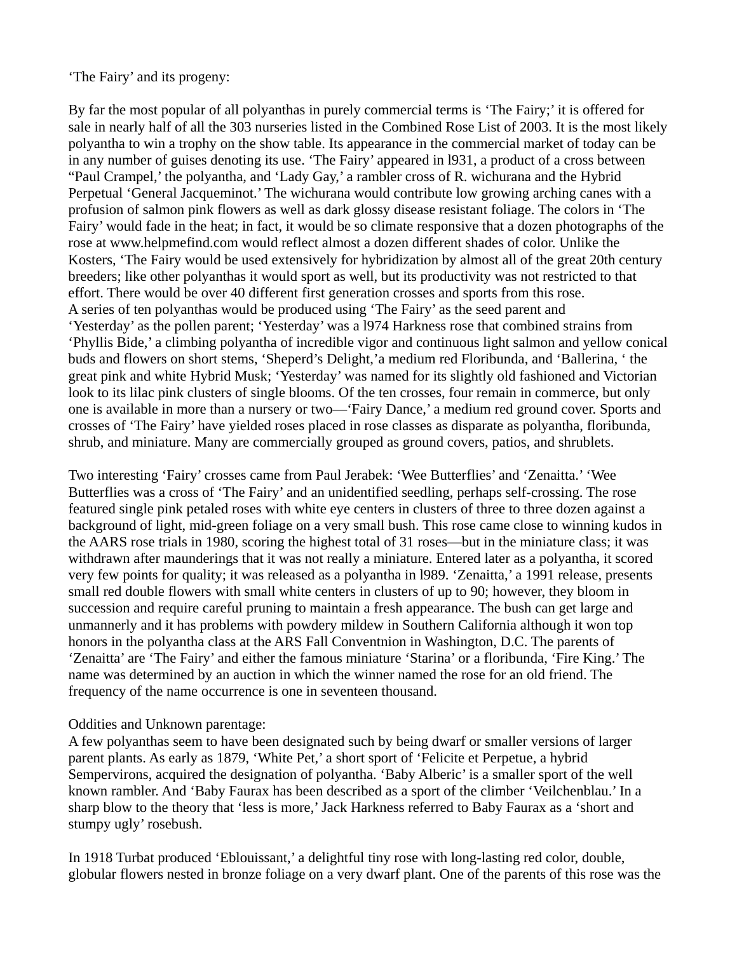'The Fairy' and its progeny:

By far the most popular of all polyanthas in purely commercial terms is 'The Fairy;' it is offered for sale in nearly half of all the 303 nurseries listed in the Combined Rose List of 2003. It is the most likely polyantha to win a trophy on the show table. Its appearance in the commercial market of today can be in any number of guises denoting its use. 'The Fairy' appeared in l931, a product of a cross between "Paul Crampel,' the polyantha, and 'Lady Gay,' a rambler cross of R. wichurana and the Hybrid Perpetual 'General Jacqueminot.' The wichurana would contribute low growing arching canes with a profusion of salmon pink flowers as well as dark glossy disease resistant foliage. The colors in 'The Fairy' would fade in the heat; in fact, it would be so climate responsive that a dozen photographs of the rose at www.helpmefind.com would reflect almost a dozen different shades of color. Unlike the Kosters, 'The Fairy would be used extensively for hybridization by almost all of the great 20th century breeders; like other polyanthas it would sport as well, but its productivity was not restricted to that effort. There would be over 40 different first generation crosses and sports from this rose. A series of ten polyanthas would be produced using 'The Fairy' as the seed parent and 'Yesterday' as the pollen parent; 'Yesterday' was a l974 Harkness rose that combined strains from 'Phyllis Bide,' a climbing polyantha of incredible vigor and continuous light salmon and yellow conical buds and flowers on short stems, 'Sheperd's Delight,'a medium red Floribunda, and 'Ballerina, ' the great pink and white Hybrid Musk; 'Yesterday' was named for its slightly old fashioned and Victorian look to its lilac pink clusters of single blooms. Of the ten crosses, four remain in commerce, but only one is available in more than a nursery or two—'Fairy Dance,' a medium red ground cover. Sports and crosses of 'The Fairy' have yielded roses placed in rose classes as disparate as polyantha, floribunda, shrub, and miniature. Many are commercially grouped as ground covers, patios, and shrublets.

Two interesting 'Fairy' crosses came from Paul Jerabek: 'Wee Butterflies' and 'Zenaitta.' 'Wee Butterflies was a cross of 'The Fairy' and an unidentified seedling, perhaps self-crossing. The rose featured single pink petaled roses with white eye centers in clusters of three to three dozen against a background of light, mid-green foliage on a very small bush. This rose came close to winning kudos in the AARS rose trials in 1980, scoring the highest total of 31 roses—but in the miniature class; it was withdrawn after maunderings that it was not really a miniature. Entered later as a polyantha, it scored very few points for quality; it was released as a polyantha in l989. 'Zenaitta,' a 1991 release, presents small red double flowers with small white centers in clusters of up to 90; however, they bloom in succession and require careful pruning to maintain a fresh appearance. The bush can get large and unmannerly and it has problems with powdery mildew in Southern California although it won top honors in the polyantha class at the ARS Fall Conventnion in Washington, D.C. The parents of 'Zenaitta' are 'The Fairy' and either the famous miniature 'Starina' or a floribunda, 'Fire King.' The name was determined by an auction in which the winner named the rose for an old friend. The frequency of the name occurrence is one in seventeen thousand.

#### Oddities and Unknown parentage:

A few polyanthas seem to have been designated such by being dwarf or smaller versions of larger parent plants. As early as 1879, 'White Pet,' a short sport of 'Felicite et Perpetue, a hybrid Sempervirons, acquired the designation of polyantha. 'Baby Alberic' is a smaller sport of the well known rambler. And 'Baby Faurax has been described as a sport of the climber 'Veilchenblau.' In a sharp blow to the theory that 'less is more,' Jack Harkness referred to Baby Faurax as a 'short and stumpy ugly' rosebush.

In 1918 Turbat produced 'Eblouissant,' a delightful tiny rose with long-lasting red color, double, globular flowers nested in bronze foliage on a very dwarf plant. One of the parents of this rose was the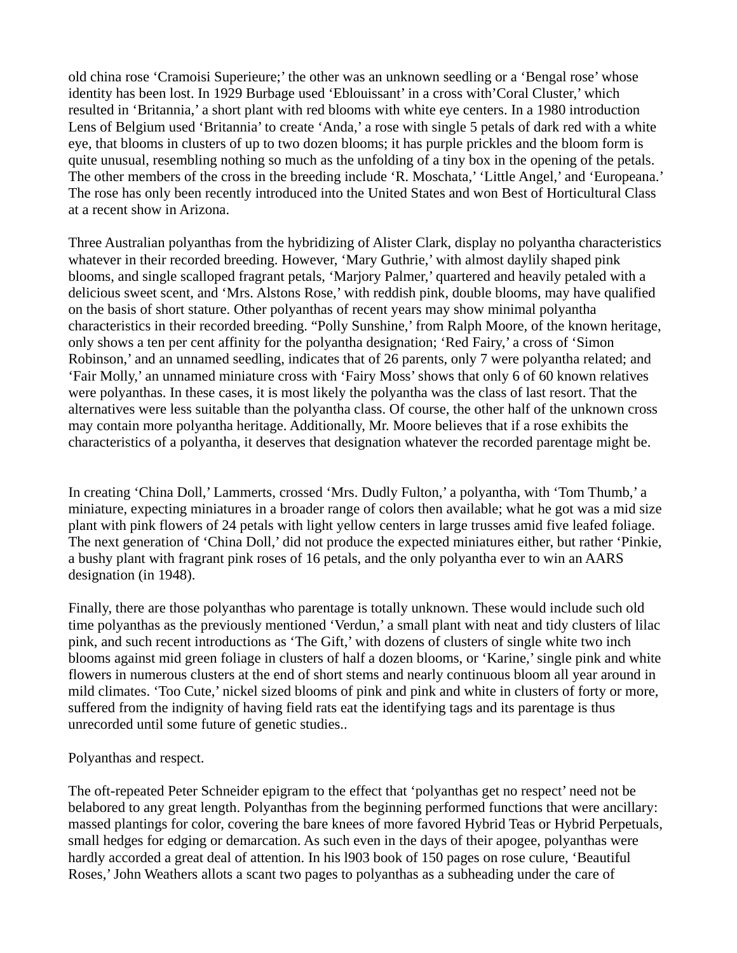old china rose 'Cramoisi Superieure;' the other was an unknown seedling or a 'Bengal rose' whose identity has been lost. In 1929 Burbage used 'Eblouissant' in a cross with'Coral Cluster,' which resulted in 'Britannia,' a short plant with red blooms with white eye centers. In a 1980 introduction Lens of Belgium used 'Britannia' to create 'Anda,' a rose with single 5 petals of dark red with a white eye, that blooms in clusters of up to two dozen blooms; it has purple prickles and the bloom form is quite unusual, resembling nothing so much as the unfolding of a tiny box in the opening of the petals. The other members of the cross in the breeding include 'R. Moschata,' 'Little Angel,' and 'Europeana.' The rose has only been recently introduced into the United States and won Best of Horticultural Class at a recent show in Arizona.

Three Australian polyanthas from the hybridizing of Alister Clark, display no polyantha characteristics whatever in their recorded breeding. However, 'Mary Guthrie,' with almost daylily shaped pink blooms, and single scalloped fragrant petals, 'Marjory Palmer,' quartered and heavily petaled with a delicious sweet scent, and 'Mrs. Alstons Rose,' with reddish pink, double blooms, may have qualified on the basis of short stature. Other polyanthas of recent years may show minimal polyantha characteristics in their recorded breeding. "Polly Sunshine,' from Ralph Moore, of the known heritage, only shows a ten per cent affinity for the polyantha designation; 'Red Fairy,' a cross of 'Simon Robinson,' and an unnamed seedling, indicates that of 26 parents, only 7 were polyantha related; and 'Fair Molly,' an unnamed miniature cross with 'Fairy Moss' shows that only 6 of 60 known relatives were polyanthas. In these cases, it is most likely the polyantha was the class of last resort. That the alternatives were less suitable than the polyantha class. Of course, the other half of the unknown cross may contain more polyantha heritage. Additionally, Mr. Moore believes that if a rose exhibits the characteristics of a polyantha, it deserves that designation whatever the recorded parentage might be.

In creating 'China Doll,' Lammerts, crossed 'Mrs. Dudly Fulton,' a polyantha, with 'Tom Thumb,' a miniature, expecting miniatures in a broader range of colors then available; what he got was a mid size plant with pink flowers of 24 petals with light yellow centers in large trusses amid five leafed foliage. The next generation of 'China Doll,' did not produce the expected miniatures either, but rather 'Pinkie, a bushy plant with fragrant pink roses of 16 petals, and the only polyantha ever to win an AARS designation (in 1948).

Finally, there are those polyanthas who parentage is totally unknown. These would include such old time polyanthas as the previously mentioned 'Verdun,' a small plant with neat and tidy clusters of lilac pink, and such recent introductions as 'The Gift,' with dozens of clusters of single white two inch blooms against mid green foliage in clusters of half a dozen blooms, or 'Karine,' single pink and white flowers in numerous clusters at the end of short stems and nearly continuous bloom all year around in mild climates. 'Too Cute,' nickel sized blooms of pink and pink and white in clusters of forty or more, suffered from the indignity of having field rats eat the identifying tags and its parentage is thus unrecorded until some future of genetic studies..

Polyanthas and respect.

The oft-repeated Peter Schneider epigram to the effect that 'polyanthas get no respect' need not be belabored to any great length. Polyanthas from the beginning performed functions that were ancillary: massed plantings for color, covering the bare knees of more favored Hybrid Teas or Hybrid Perpetuals, small hedges for edging or demarcation. As such even in the days of their apogee, polyanthas were hardly accorded a great deal of attention. In his l903 book of 150 pages on rose culure, 'Beautiful Roses,' John Weathers allots a scant two pages to polyanthas as a subheading under the care of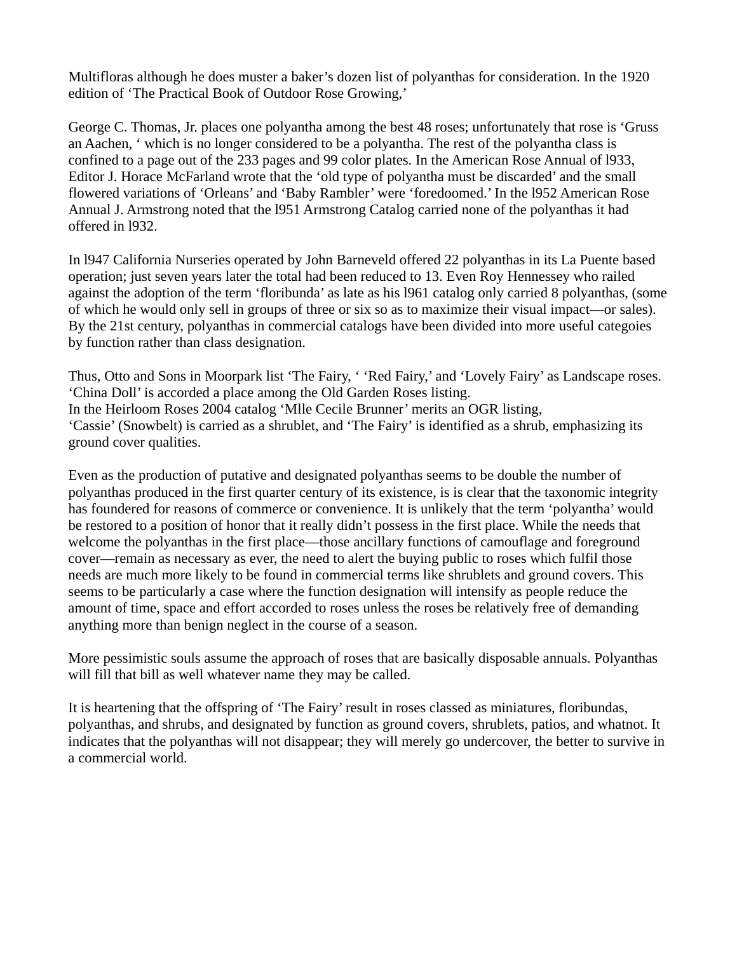Multifloras although he does muster a baker's dozen list of polyanthas for consideration. In the 1920 edition of 'The Practical Book of Outdoor Rose Growing,'

George C. Thomas, Jr. places one polyantha among the best 48 roses; unfortunately that rose is 'Gruss an Aachen, ' which is no longer considered to be a polyantha. The rest of the polyantha class is confined to a page out of the 233 pages and 99 color plates. In the American Rose Annual of l933, Editor J. Horace McFarland wrote that the 'old type of polyantha must be discarded' and the small flowered variations of 'Orleans' and 'Baby Rambler' were 'foredoomed.' In the l952 American Rose Annual J. Armstrong noted that the l951 Armstrong Catalog carried none of the polyanthas it had offered in l932.

In l947 California Nurseries operated by John Barneveld offered 22 polyanthas in its La Puente based operation; just seven years later the total had been reduced to 13. Even Roy Hennessey who railed against the adoption of the term 'floribunda' as late as his l961 catalog only carried 8 polyanthas, (some of which he would only sell in groups of three or six so as to maximize their visual impact—or sales). By the 21st century, polyanthas in commercial catalogs have been divided into more useful categoies by function rather than class designation.

Thus, Otto and Sons in Moorpark list 'The Fairy, ' 'Red Fairy,' and 'Lovely Fairy' as Landscape roses. 'China Doll' is accorded a place among the Old Garden Roses listing. In the Heirloom Roses 2004 catalog 'Mlle Cecile Brunner' merits an OGR listing, 'Cassie' (Snowbelt) is carried as a shrublet, and 'The Fairy' is identified as a shrub, emphasizing its ground cover qualities.

Even as the production of putative and designated polyanthas seems to be double the number of polyanthas produced in the first quarter century of its existence, is is clear that the taxonomic integrity has foundered for reasons of commerce or convenience. It is unlikely that the term 'polyantha' would be restored to a position of honor that it really didn't possess in the first place. While the needs that welcome the polyanthas in the first place—those ancillary functions of camouflage and foreground cover—remain as necessary as ever, the need to alert the buying public to roses which fulfil those needs are much more likely to be found in commercial terms like shrublets and ground covers. This seems to be particularly a case where the function designation will intensify as people reduce the amount of time, space and effort accorded to roses unless the roses be relatively free of demanding anything more than benign neglect in the course of a season.

More pessimistic souls assume the approach of roses that are basically disposable annuals. Polyanthas will fill that bill as well whatever name they may be called.

It is heartening that the offspring of 'The Fairy' result in roses classed as miniatures, floribundas, polyanthas, and shrubs, and designated by function as ground covers, shrublets, patios, and whatnot. It indicates that the polyanthas will not disappear; they will merely go undercover, the better to survive in a commercial world.